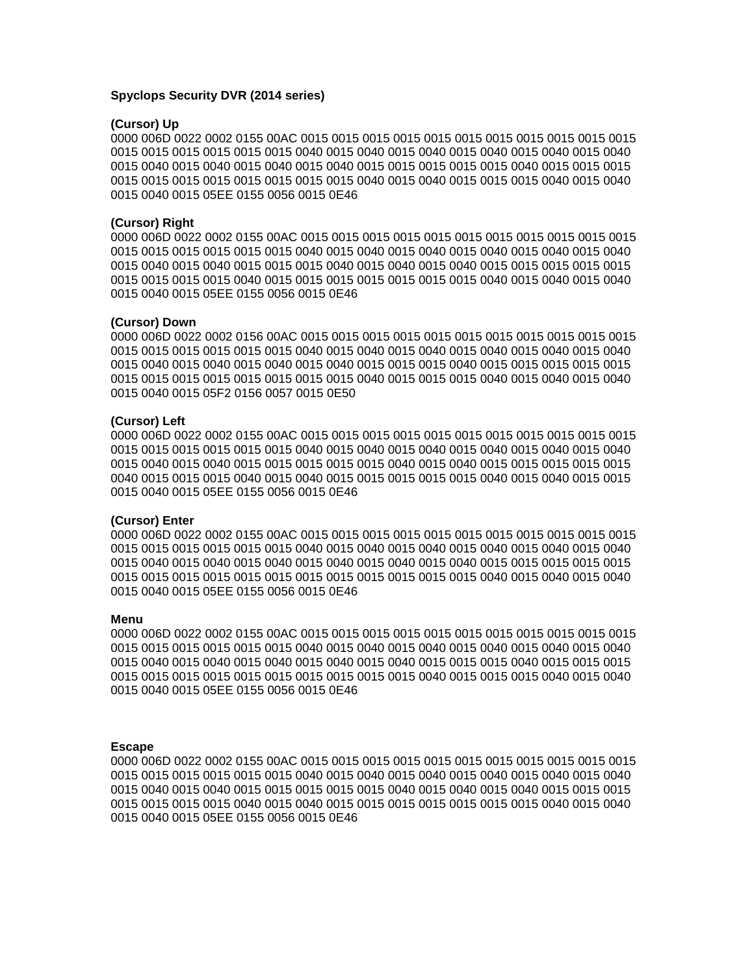# **Spyclops Security DVR (2014 series)**

# **(Cursor) Up**

0000 006D 0022 0002 0155 00AC 0015 0015 0015 0015 0015 0015 0015 0015 0015 0015 0015 0015 0015 0015 0015 0015 0015 0040 0015 0040 0015 0040 0015 0040 0015 0040 0015 0040 0015 0040 0015 0040 0015 0040 0015 0040 0015 0015 0015 0015 0015 0040 0015 0015 0015 0015 0015 0015 0015 0015 0015 0015 0015 0040 0015 0040 0015 0015 0015 0040 0015 0040 0015 0040 0015 05EE 0155 0056 0015 0E46

# **(Cursor) Right**

0000 006D 0022 0002 0155 00AC 0015 0015 0015 0015 0015 0015 0015 0015 0015 0015 0015 0015 0015 0015 0015 0015 0015 0040 0015 0040 0015 0040 0015 0040 0015 0040 0015 0040 0015 0040 0015 0040 0015 0015 0015 0040 0015 0040 0015 0040 0015 0015 0015 0015 0015 0015 0015 0015 0015 0040 0015 0015 0015 0015 0015 0015 0015 0040 0015 0040 0015 0040 0015 0040 0015 05EE 0155 0056 0015 0E46

# **(Cursor) Down**

0000 006D 0022 0002 0156 00AC 0015 0015 0015 0015 0015 0015 0015 0015 0015 0015 0015 0015 0015 0015 0015 0015 0015 0040 0015 0040 0015 0040 0015 0040 0015 0040 0015 0040 0015 0040 0015 0040 0015 0040 0015 0040 0015 0015 0015 0040 0015 0015 0015 0015 0015 0015 0015 0015 0015 0015 0015 0015 0015 0040 0015 0015 0015 0040 0015 0040 0015 0040 0015 0040 0015 05F2 0156 0057 0015 0E50

# **(Cursor) Left**

0000 006D 0022 0002 0155 00AC 0015 0015 0015 0015 0015 0015 0015 0015 0015 0015 0015 0015 0015 0015 0015 0015 0015 0040 0015 0040 0015 0040 0015 0040 0015 0040 0015 0040 0015 0040 0015 0040 0015 0015 0015 0015 0015 0040 0015 0040 0015 0015 0015 0015 0015 0040 0015 0015 0015 0040 0015 0040 0015 0015 0015 0015 0015 0040 0015 0040 0015 0015 0015 0040 0015 05EE 0155 0056 0015 0E46

# **(Cursor) Enter**

0000 006D 0022 0002 0155 00AC 0015 0015 0015 0015 0015 0015 0015 0015 0015 0015 0015 0015 0015 0015 0015 0015 0015 0040 0015 0040 0015 0040 0015 0040 0015 0040 0015 0040 0015 0040 0015 0040 0015 0040 0015 0040 0015 0040 0015 0040 0015 0015 0015 0015 0015 0015 0015 0015 0015 0015 0015 0015 0015 0015 0015 0015 0015 0040 0015 0040 0015 0040 0015 0040 0015 05EE 0155 0056 0015 0E46

# **Menu**

0000 006D 0022 0002 0155 00AC 0015 0015 0015 0015 0015 0015 0015 0015 0015 0015 0015 0015 0015 0015 0015 0015 0015 0040 0015 0040 0015 0040 0015 0040 0015 0040 0015 0040 0015 0040 0015 0040 0015 0040 0015 0040 0015 0040 0015 0015 0015 0040 0015 0015 0015 0015 0015 0015 0015 0015 0015 0015 0015 0015 0015 0040 0015 0015 0015 0040 0015 0040 0015 0040 0015 05EE 0155 0056 0015 0E46

# **Escape**

0000 006D 0022 0002 0155 00AC 0015 0015 0015 0015 0015 0015 0015 0015 0015 0015 0015 0015 0015 0015 0015 0015 0015 0040 0015 0040 0015 0040 0015 0040 0015 0040 0015 0040 0015 0040 0015 0040 0015 0015 0015 0015 0015 0040 0015 0040 0015 0040 0015 0015 0015 0015 0015 0015 0015 0040 0015 0040 0015 0015 0015 0015 0015 0015 0015 0040 0015 0040 0015 0040 0015 05EE 0155 0056 0015 0E46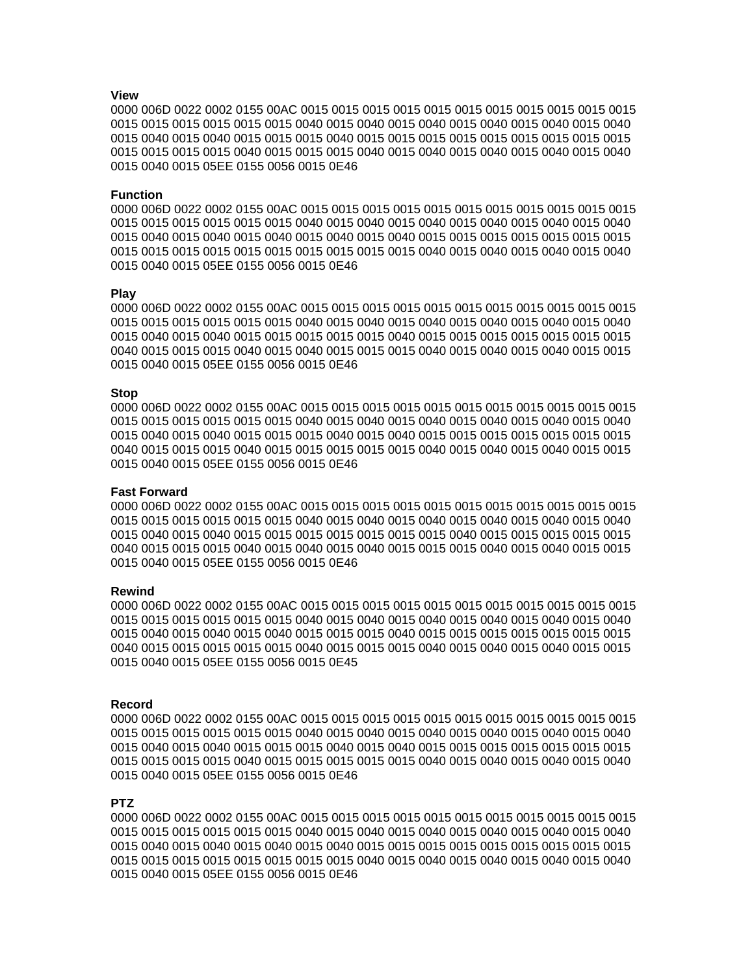# **View**

0015 0015 0015 0015 0015 0015 0040 0015 0040 0015 0040 0015 0040 0015 0040 0015 0040 0015 0040 0015 05EE 0155 0056 0015 0E46

# **Function**

0015 0015 0015 0015 0015 0015 0040 0015 0040 0015 0040 0015 0040 0015 0040 0015 0040 0015 0040 0015 05EE 0155 0056 0015 0E46

### Play

0015 0015 0015 0015 0015 0015 0040 0015 0040 0015 0040 0015 0040 0015 0040 0015 0040 0015 0040 0015 05EE 0155 0056 0015 0E46

### **Stop**

0015 0015 0015 0015 0015 0015 0040 0015 0040 0015 0040 0015 0040 0015 0040 0015 0040 0015 0040 0015 05EE 0155 0056 0015 0E46

#### **Fast Forward**

0015 0015 0015 0015 0015 0015 0040 0015 0040 0015 0040 0015 0040 0015 0040 0015 0040 0015 0040 0015 05EE 0155 0056 0015 0E46

#### **Rewind**

0015 0015 0015 0015 0015 0015 0040 0015 0040 0015 0040 0015 0040 0015 0040 0015 0040 0015 0040 0015 05EE 0155 0056 0015 0E45

#### Record

0015 0015 0015 0015 0015 0015 0040 0015 0040 0015 0040 0015 0040 0015 0040 0015 0040 0015 0040 0015 05EE 0155 0056 0015 0E46

# **PTZ**

0015 0015 0015 0015 0015 0015 0040 0015 0040 0015 0040 0015 0040 0015 0040 0015 0040 0015 0040 0015 05EE 0155 0056 0015 0E46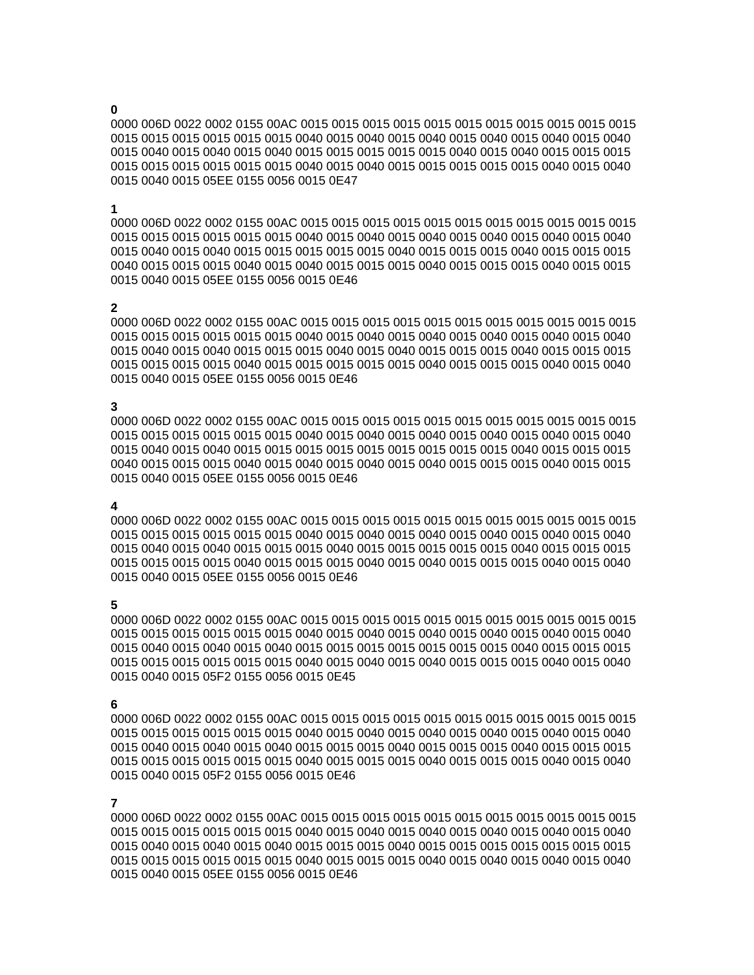# 0

0015 0015 0015 0015 0015 0015 0040 0015 0040 0015 0040 0015 0040 0015 0040 0015 0040 0015 0040 0015 05EE 0155 0056 0015 0E47

# 1

0015 0015 0015 0015 0015 0015 0040 0015 0040 0015 0040 0015 0040 0015 0040 0015 0040 0015 0040 0015 05EE 0155 0056 0015 0E46

# $\mathbf{2}$

0015 0015 0015 0015 0015 0015 0040 0015 0040 0015 0040 0015 0040 0015 0040 0015 0040 0015 0040 0015 05EE 0155 0056 0015 0E46

# 3

0015 0015 0015 0015 0015 0015 0040 0015 0040 0015 0040 0015 0040 0015 0040 0015 0040 0015 0040 0015 05EE 0155 0056 0015 0E46

# 4

0015 0015 0015 0015 0015 0015 0040 0015 0040 0015 0040 0015 0040 0015 0040 0015 0040 0015 0040 0015 05EE 0155 0056 0015 0E46

# 5

0015 0015 0015 0015 0015 0015 0040 0015 0040 0015 0040 0015 0040 0015 0040 0015 0040 0015 0040 0015 05F2 0155 0056 0015 0E45

# 6

0015 0015 0015 0015 0015 0015 0040 0015 0040 0015 0040 0015 0040 0015 0040 0015 0040 0015 0040 0015 05F2 0155 0056 0015 0E46

# $\overline{7}$

0015 0015 0015 0015 0015 0015 0040 0015 0040 0015 0040 0015 0040 0015 0040 0015 0040 0015 0040 0015 05EE 0155 0056 0015 0E46